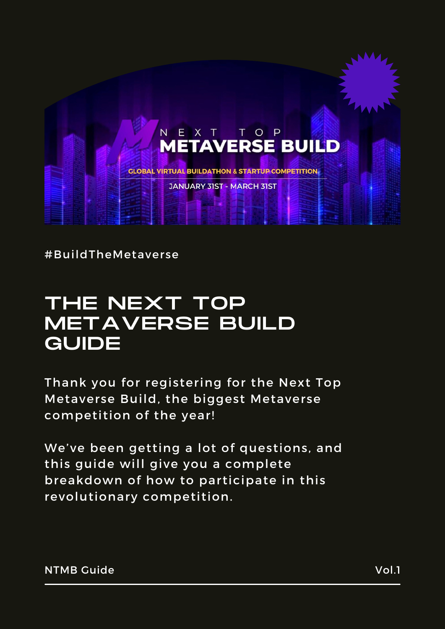

#BuildTheMetaverse

## THE NEXT TOP METAVERSE BUILD GUIDE

Thank you for registering for the Next Top Metaverse Build, the biggest Metaverse competition of the year!

We've been getting a lot of questions, and this guide will give you a complete breakdown of how to participate in this revolutionary competition.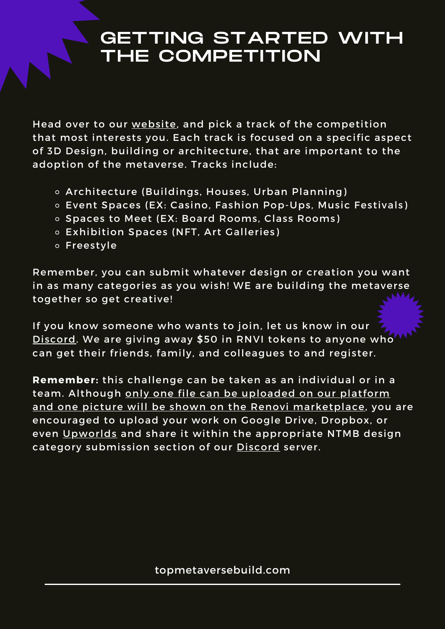#### GETTING STARTED WITH THE COMPETITION

Head over to our [website](https://topmetaversebuild.com/), and pick a track of the competition that most interests you. Each track is focused on a specific aspect of 3D Design, building or architecture, that are important to the adoption of the metaverse. Tracks include:

- Architecture (Buildings, Houses, Urban Planning)
- Event Spaces (EX: Casino, Fashion Pop-Ups, Music Festivals)
- o Spaces to Meet (EX: Board Rooms, Class Rooms)
- Exhibition Spaces (NFT, Art Galleries)
- Freestyle

Remember, you can submit whatever design or creation you want in as many categories as you wish! WE are building the metaverse together so get creative!

If you know someone who wants to join, let us know in our [Discord](https://discord.gg/cPpHYzXFfC). We are giving away \$50 in RNVI tokens to anyone who can get their friends, family, and colleagues to and register.

**Remember:** this challenge can be taken as an individual or in a team. Although only one file can be uploaded on our platform and one picture will be shown on the Renovi marketplace, you are encouraged to upload your work on Google Drive, Dropbox, or even [Upworlds](https://www.upworlds.org/) and share it within the appropriate NTMB design category submission section of our **[Discord](https://discord.gg/cPpHYzXFfC)** server.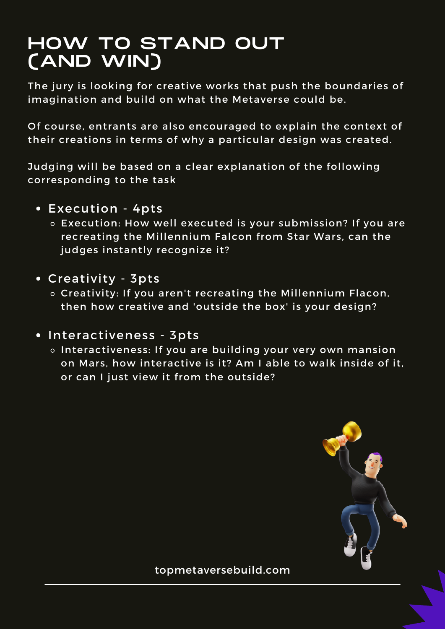#### HOW TO STAND OUT (AND WIN)

The jury is looking for creative works that push the boundaries of imagination and build on what the Metaverse could be.

Of course, entrants are also encouraged to explain the context of their creations in terms of why a particular design was created.

Judging will be based on a clear explanation of the following corresponding to the task

- Execution 4pts
	- Execution: How well executed is your submission? If you are recreating the Millennium Falcon from Star Wars, can the judges instantly recognize it?
- Creativity 3pts
	- o Creativity: If you aren't recreating the Millennium Flacon, then how creative and 'outside the box' is your design?
- Interactiveness 3pts
	- o Interactiveness: If you are building your very own mansion on Mars, how interactive is it? Am I able to walk inside of it, or can I just view it from the outside?

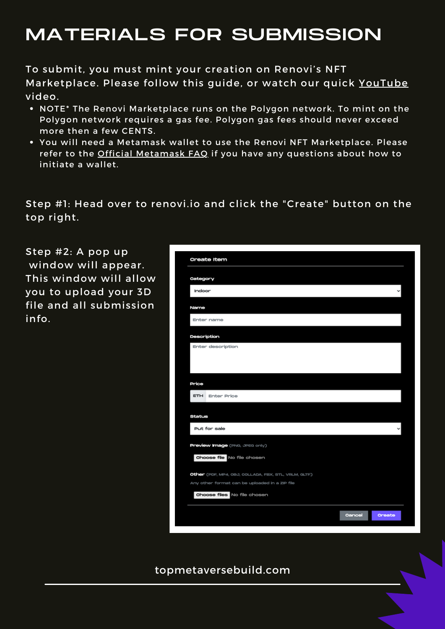## MATERIALS FOR SUBMISSION

To submit, you must mint your creation on Renovi's NFT Marketplace. Please follow this guide, or watch our quick [YouTube](https://www.youtube.com/watch?v=Wa_5A8wL5V0&t=12s) video.

- NOTE\* The Renovi Marketplace runs on the Polygon network. To mint on the Polygon network requires a gas fee. Polygon gas fees should never exceed more then a few CENTS.
- You will need a Metamask wallet to use the Renovi NFT Marketplace. Please refer to the Official [Metamask](https://metamask.io/faqs/) FAQ if you have any questions about how to initiate a wallet.

Step #1: Head over to renovi.io and click the "Create" button on the top right.

Step #2: A pop up window will appear. This window will allow you to upload your 3D file and all submission info.

| <b>Create Item</b>                                   |                         |
|------------------------------------------------------|-------------------------|
| Category                                             |                         |
| Indoor                                               |                         |
| Name                                                 |                         |
| Enter name                                           |                         |
| Description                                          |                         |
| Enter description                                    |                         |
|                                                      |                         |
| Price                                                |                         |
| <b>ETH</b><br><b>Enter Price</b>                     |                         |
| Status                                               |                         |
| Put for sale                                         |                         |
| Preview Image (PNG, JPEG only)                       |                         |
| Choose file No file chosen                           |                         |
| Other (PDF, MP4, OBJ, COLLADA, FBX, STL, VRLM, GLTF) |                         |
| Any other format can be uploaded in a ZIP file       |                         |
| Choose files No file chosen                          |                         |
|                                                      | Cancel<br><b>Oreate</b> |
|                                                      |                         |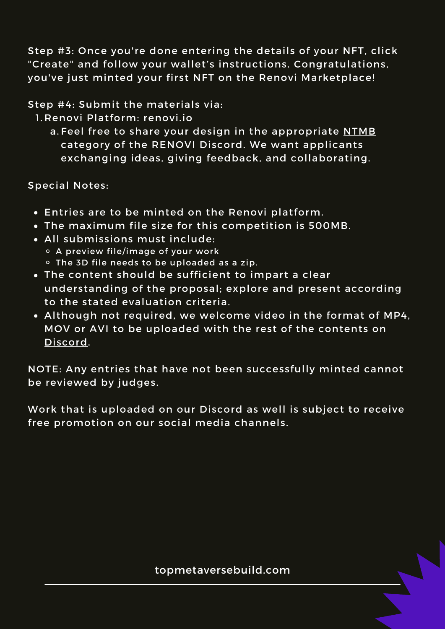Step #3: Once you're done entering the details of your NFT, click "Create" and follow your wallet's instructions. Congratulations, you've just minted your first NFT on the Renovi Marketplace!

Step #4: Submit the materials via:

1. Renovi Platform: [renovi.io](http://renovi.io/)

a.Feel free to share your design in the [appropriate](https://discord.gg/Qr9dXZFb) <u>NTMB</u> category of the RENOVI [Discord.](https://discord.gg/cPpHYzXFfC) We want applicants exchanging ideas, giving feedback, and collaborating.

Special Notes:

- Entries are to be minted on the Renovi platform.
- The maximum file size for this competition is 500MB.
- All submissions must include:
	- A preview file/image of your work The 3D file needs to be uploaded as a zip.
- The content should be sufficient to impart a clear understanding of the proposal; explore and present according to the stated evaluation criteria.
- Although not required, we welcome video in the format of MP4, MOV or AVI to be uploaded with the rest of the contents on [Discord.](https://discord.gg/cPpHYzXFfC)

NOTE: Any entries that have not been successfully minted cannot be reviewed by judges.

Work that is uploaded on our Discord as well is subject to receive free promotion on our social media channels.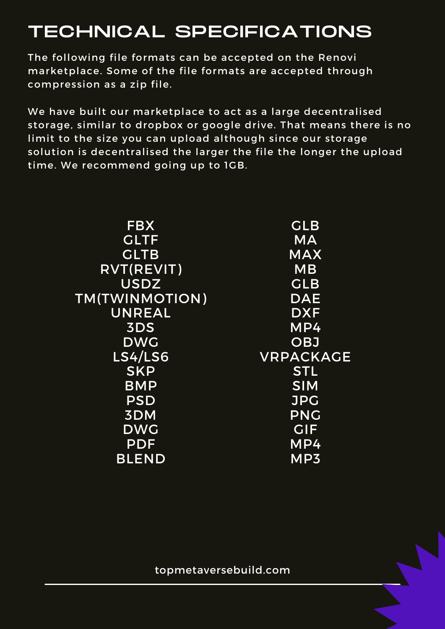# TECHNICAL SPECIFICATIONS

The following file formats can be accepted on the Renovi marketplace. Some of the file formats are accepted through compression as a zip file.

We have built our marketplace to act as a large decentralised storage, similar to dropbox or google drive. That means there is no limit to the size you can upload although since our storage solution is decentralised the larger the file the longer the upload time. We recommend going up to 1GB.

| <b>FBX</b>     | <b>GLB</b>       |
|----------------|------------------|
| <b>GLTF</b>    | <b>MA</b>        |
| <b>GLTB</b>    | <b>MAX</b>       |
| RVT(REVIT)     | <b>MB</b>        |
| <b>USDZ</b>    | <b>GLB</b>       |
| TM(TWINMOTION) | <b>DAE</b>       |
| <b>UNREAL</b>  | <b>DXF</b>       |
| 3DS            | MP4              |
| <b>DWG</b>     | <b>OBJ</b>       |
| <b>LS4/LS6</b> | <b>VRPACKAGE</b> |
| <b>SKP</b>     | <b>STL</b>       |
| <b>BMP</b>     | <b>SIM</b>       |
| <b>PSD</b>     | <b>JPG</b>       |
| 3DM            | <b>PNG</b>       |
| <b>DWG</b>     | <b>GIF</b>       |
| <b>PDF</b>     | MP4              |
| <b>BLEND</b>   | MP3              |
|                |                  |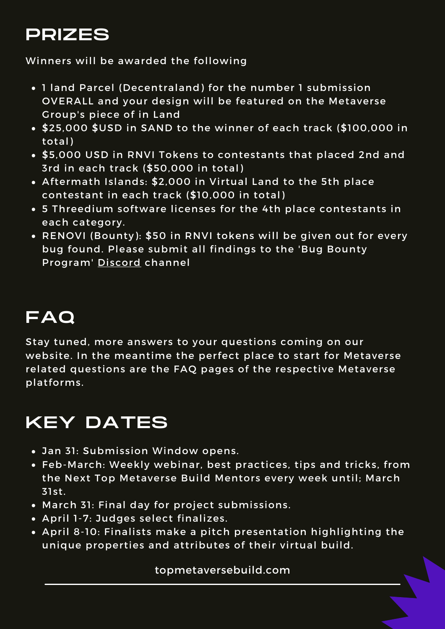## PRIZES

Winners will be awarded the following

- 1 land Parcel (Decentraland) for the number 1 submission OVERALL and your design will be featured on the Metaverse Group's piece of in Land
- \$25,000 \$USD in SAND to the winner of each track (\$100,000 in total)
- \$5,000 USD in RNVI Tokens to contestants that placed 2nd and 3rd in each track (\$50,000 in total)
- Aftermath Islands: \$2,000 in Virtual Land to the 5th place contestant in each track (\$10,000 in total)
- **5 Threedium software licenses for the 4th place contestants in** each category.
- RENOVI (Bounty): \$50 in RNVI tokens will be given out for every bug found. Please submit all findings to the 'Bug Bounty Program' [Discord](https://discord.gg/cPpHYzXFfC) channel

## FAQ

Stay tuned, more answers to your questions coming on our website. In the meantime the perfect place to start for Metaverse related questions are the FAQ pages of the respective Metaverse platforms.

## KEY DATES

- Jan 31: Submission Window opens.
- Feb-March: Weekly webinar, best practices, tips and tricks, from the Next Top Metaverse Build Mentors every week until; March 31st.
- March 31: Final day for project submissions.
- April 1-7: Judges select finalizes.
- April 8-10: Finalists make a pitch presentation highlighting the unique properties and attributes of their virtual build.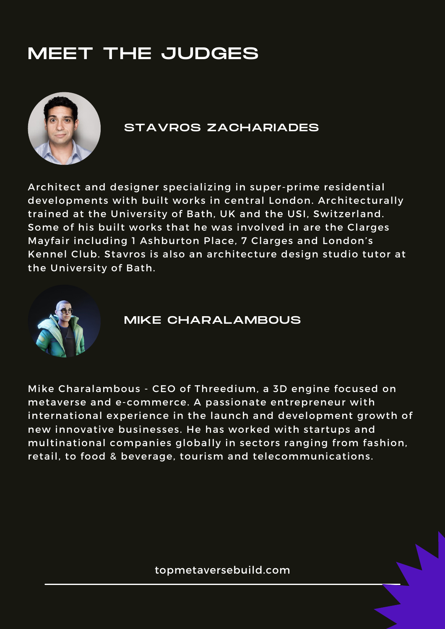# MEET THE JUDGES



#### STAVROS ZACHARIADES

Architect and designer specializing in super-prime residential developments with built works in central London. Architecturally trained at the University of Bath, UK and the USI, Switzerland. Some of his built works that he was involved in are the Clarges Mayfair including 1 Ashburton Place, 7 Clarges and London's Kennel Club. Stavros is also an architecture design studio tutor at the University of Bath.



#### MIKE CHARALAMBOUS

Mike Charalambous - CEO of Threedium, a 3D engine focused on metaverse and e-commerce. A passionate entrepreneur with international experience in the launch and development growth of new innovative businesses. He has worked with startups and multinational companies globally in sectors ranging from fashion, retail, to food & beverage, tourism and telecommunications.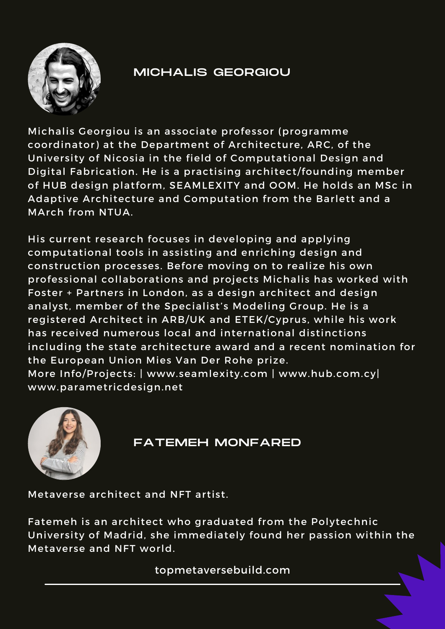

#### MICHALIS GEORGIOU

Michalis Georgiou is an associate professor (programme coordinator) at the Department of Architecture, ARC, of the University of Nicosia in the field of Computational Design and Digital Fabrication. He is a practising architect/founding member of HUB design platform, SEAMLEXITY and OOM. He holds an MSc in Adaptive Architecture and Computation from the Barlett and a MArch from NTUA.

His current research focuses in developing and applying computational tools in assisting and enriching design and construction processes. Before moving on to realize his own professional collaborations and projects Michalis has worked with Foster + Partners in London, as a design architect and design analyst, member of the Specialist's Modeling Group. He is a registered Architect in ARB/UK and ETEK/Cyprus, while his work has received numerous local and international distinctions including the state architecture award and a recent nomination for the European Union Mies Van Der Rohe prize. More Info/Projects: | [www.se](http://www.seamlexity.com/)amlexity.com | www.hub.com.cy| www.parametricdesign.net



#### FATEMEH MONFARED

Metaverse architect and NFT artist.

Fatemeh is an architect who graduated from the Polytechnic University of Madrid, she immediately found her passion within the Metaverse and NFT world.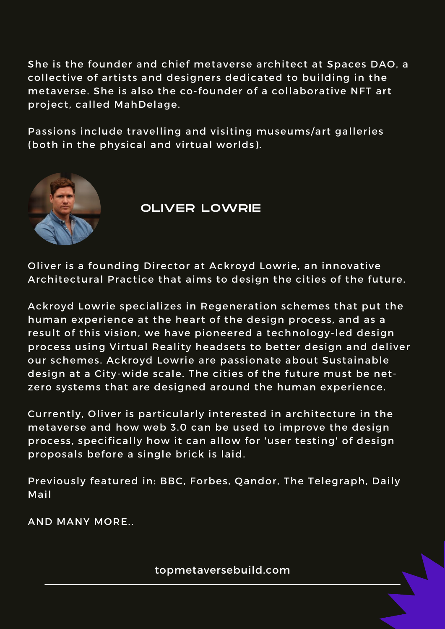She is the founder and chief metaverse architect at Spaces DAO, a collective of artists and designers dedicated to building in the metaverse. She is also the co-founder of a collaborative NFT art project, called MahDelage.

Passions include travelling and visiting museums/art galleries (both in the physical and virtual worlds).



OLIVER LOWRIE

Oliver is a founding Director at Ackroyd Lowrie, an innovative Architectural Practice that aims to design the cities of the future.

Ackroyd Lowrie specializes in Regeneration schemes that put the human experience at the heart of the design process, and as a result of this vision, we have pioneered a technology-led design process using Virtual Reality headsets to better design and deliver our schemes. Ackroyd Lowrie are passionate about Sustainable design at a City-wide scale. The cities of the future must be netzero systems that are designed around the human experience.

Currently, Oliver is particularly interested in architecture in the metaverse and how web 3.0 can be used to improve the design process, specifically how it can allow for 'user testing' of design proposals before a single brick is laid.

Previously featured in: BBC, Forbes, Qandor, The Telegraph, Daily Mail

AND MANY MORE..